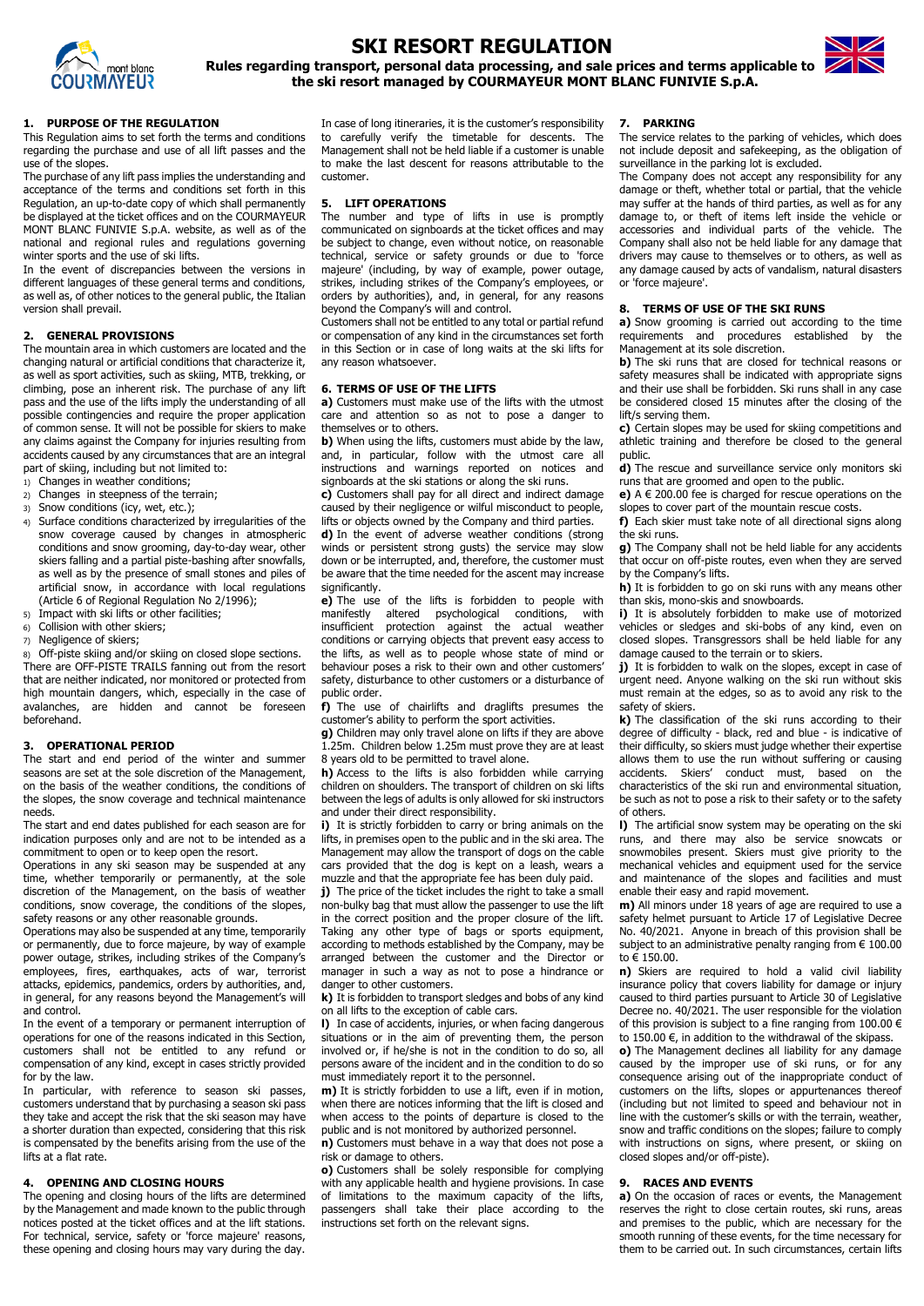

# **SKI RESORT REGULATION**



**Rules regarding transport, personal data processing, and sale prices and terms applicable to the ski resort managed by COURMAYEUR MONT BLANC FUNIVIE S.p.A.**

# **1. PURPOSE OF THE REGULATION**

This Regulation aims to set forth the terms and conditions regarding the purchase and use of all lift passes and the use of the slopes.

The purchase of any lift pass implies the understanding and acceptance of the terms and conditions set forth in this Regulation, an up-to-date copy of which shall permanently be displayed at the ticket offices and on the COURMAYEUR MONT BLANC FUNIVIE S.p.A. website, as well as of the national and regional rules and regulations governing winter sports and the use of ski lifts.

In the event of discrepancies between the versions in different languages of these general terms and conditions, as well as, of other notices to the general public, the Italian version shall prevail.

# **2. GENERAL PROVISIONS**

The mountain area in which customers are located and the changing natural or artificial conditions that characterize it, as well as sport activities, such as skiing, MTB, trekking, or climbing, pose an inherent risk. The purchase of any lift pass and the use of the lifts imply the understanding of all possible contingencies and require the proper application of common sense. It will not be possible for skiers to make any claims against the Company for injuries resulting from accidents caused by any circumstances that are an integral part of skiing, including but not limited to:

- 1) Changes in weather conditions;
- 2) Changes in steepness of the terrain;
- 3) Snow conditions (icy, wet, etc.);
- 4) Surface conditions characterized by irregularities of the snow coverage caused by changes in atmospheric conditions and snow grooming, day-to-day wear, other skiers falling and a partial piste-bashing after snowfalls, as well as by the presence of small stones and piles of artificial snow, in accordance with local regulations (Article 6 of Regional Regulation No 2/1996);
- 5) Impact with ski lifts or other facilities;
- 6) Collision with other skiers;
- 7) Negligence of skiers;

8) Off-piste skiing and/or skiing on closed slope sections. There are OFF-PISTE TRAILS fanning out from the resort that are neither indicated, nor monitored or protected from high mountain dangers, which, especially in the case of avalanches, are hidden and cannot be foreseen beforehand.

## **3. OPERATIONAL PERIOD**

The start and end period of the winter and summer seasons are set at the sole discretion of the Management, on the basis of the weather conditions, the conditions of the slopes, the snow coverage and technical maintenance needs.

The start and end dates published for each season are for indication purposes only and are not to be intended as a commitment to open or to keep open the resort.

Operations in any ski season may be suspended at any time, whether temporarily or permanently, at the sole discretion of the Management, on the basis of weather conditions, snow coverage, the conditions of the slopes, safety reasons or any other reasonable grounds.

Operations may also be suspended at any time, temporarily or permanently, due to force majeure, by way of example power outage, strikes, including strikes of the Company's employees, fires, earthquakes, acts of war, terrorist attacks, epidemics, pandemics, orders by authorities, and, in general, for any reasons beyond the Management's will and control. In the event of a temporary or permanent interruption of operations for one of the reasons indicated in this Section, customers shall not be entitled to any refund or compensation of any kind, except in cases strictly provided for by the law. In particular, with reference to season ski passes, customers understand that by purchasing a season ski pass they take and accept the risk that the ski season may have a shorter duration than expected, considering that this risk is compensated by the benefits arising from the use of the lifts at a flat rate.

**j)** The price of the ticket includes the right to take a small non-bulky bag that must allow the passenger to use the lift in the correct position and the proper closure of the lift. Taking any other type of bags or sports equipment, according to methods established by the Company, may be arranged between the customer and the Director or manager in such a way as not to pose a hindrance or danger to other customers.

## **4. OPENING AND CLOSING HOURS**

**m)** It is strictly forbidden to use a lift, even if in motion, when there are notices informing that the lift is closed and when access to the points of departure is closed to the public and is not monitored by authorized personnel.

The opening and closing hours of the lifts are determined by the Management and made known to the public through notices posted at the ticket offices and at the lift stations. For technical, service, safety or 'force majeure' reasons, these opening and closing hours may vary during the day.

In case of long itineraries, it is the customer's responsibility to carefully verify the timetable for descents. The Management shall not be held liable if a customer is unable to make the last descent for reasons attributable to the customer.

# **5. LIFT OPERATIONS**

The number and type of lifts in use is promptly communicated on signboards at the ticket offices and may be subject to change, even without notice, on reasonable technical, service or safety grounds or due to 'force majeure' (including, by way of example, power outage, strikes, including strikes of the Company's employees, or orders by authorities), and, in general, for any reasons beyond the Company's will and control.

Customers shall not be entitled to any total or partial refund or compensation of any kind in the circumstances set forth in this Section or in case of long waits at the ski lifts for any reason whatsoever.

# **6. TERMS OF USE OF THE LIFTS**

**a)** Customers must make use of the lifts with the utmost care and attention so as not to pose a danger to themselves or to others.

> **j)** It is forbidden to walk on the slopes, except in case of urgent need. Anyone walking on the ski run without skis must remain at the edges, so as to avoid any risk to the safety of skiers.

**b)** When using the lifts, customers must abide by the law, and, in particular, follow with the utmost care all instructions and warnings reported on notices and signboards at the ski stations or along the ski runs.

**c)** Customers shall pay for all direct and indirect damage caused by their negligence or wilful misconduct to people, lifts or objects owned by the Company and third parties.

**d)** In the event of adverse weather conditions (strong winds or persistent strong gusts) the service may slow down or be interrupted, and, therefore, the customer must be aware that the time needed for the ascent may increase significantly.

**e)** The use of the lifts is forbidden to people with manifestly altered psychological conditions, with insufficient protection against the actual weather conditions or carrying objects that prevent easy access to the lifts, as well as to people whose state of mind or behaviour poses a risk to their own and other customers' safety, disturbance to other customers or a disturbance of public order.

**f)** The use of chairlifts and draglifts presumes the customer's ability to perform the sport activities.

**g)** Children may only travel alone on lifts if they are above 1.25m. Children below 1.25m must prove they are at least 8 years old to be permitted to travel alone.

**h)** Access to the lifts is also forbidden while carrying children on shoulders. The transport of children on ski lifts between the legs of adults is only allowed for ski instructors and under their direct responsibility.

**i)** It is strictly forbidden to carry or bring animals on the lifts, in premises open to the public and in the ski area. The Management may allow the transport of dogs on the cable cars provided that the dog is kept on a leash, wears a muzzle and that the appropriate fee has been duly paid.

**k)** It is forbidden to transport sledges and bobs of any kind on all lifts to the exception of cable cars.

**l)** In case of accidents, injuries, or when facing dangerous situations or in the aim of preventing them, the person involved or, if he/she is not in the condition to do so, all persons aware of the incident and in the condition to do so must immediately report it to the personnel.

**n)** Customers must behave in a way that does not pose a risk or damage to others.

**o)** Customers shall be solely responsible for complying with any applicable health and hygiene provisions. In case of limitations to the maximum capacity of the lifts, passengers shall take their place according to the instructions set forth on the relevant signs.

# **7. PARKING**

The service relates to the parking of vehicles, which does not include deposit and safekeeping, as the obligation of surveillance in the parking lot is excluded.

The Company does not accept any responsibility for any damage or theft, whether total or partial, that the vehicle may suffer at the hands of third parties, as well as for any damage to, or theft of items left inside the vehicle or accessories and individual parts of the vehicle. The Company shall also not be held liable for any damage that drivers may cause to themselves or to others, as well as any damage caused by acts of vandalism, natural disasters or 'force majeure'.

## **8. TERMS OF USE OF THE SKI RUNS**

**a)** Snow grooming is carried out according to the time requirements and procedures established by the Management at its sole discretion.

**b)** The ski runs that are closed for technical reasons or safety measures shall be indicated with appropriate signs and their use shall be forbidden. Ski runs shall in any case be considered closed 15 minutes after the closing of the lift/s serving them.

**c)** Certain slopes may be used for skiing competitions and athletic training and therefore be closed to the general public.

**d)** The rescue and surveillance service only monitors ski runs that are groomed and open to the public.

**e)** A € 200.00 fee is charged for rescue operations on the slopes to cover part of the mountain rescue costs.

**f)** Each skier must take note of all directional signs along the ski runs.

**g)** The Company shall not be held liable for any accidents that occur on off-piste routes, even when they are served by the Company's lifts.

**h)** It is forbidden to go on ski runs with any means other than skis, mono-skis and snowboards.

**i)** It is absolutely forbidden to make use of motorized vehicles or sledges and ski-bobs of any kind, even on closed slopes. Transgressors shall be held liable for any damage caused to the terrain or to skiers.

**k)** The classification of the ski runs according to their degree of difficulty - black, red and blue - is indicative of their difficulty, so skiers must judge whether their expertise allows them to use the run without suffering or causing accidents. Skiers' conduct must, based on the characteristics of the ski run and environmental situation, be such as not to pose a risk to their safety or to the safety of others.

**l)** The artificial snow system may be operating on the ski runs, and there may also be service snowcats or snowmobiles present. Skiers must give priority to the mechanical vehicles and equipment used for the service and maintenance of the slopes and facilities and must enable their easy and rapid movement.

**m)** All minors under 18 years of age are required to use a safety helmet pursuant to Article 17 of Legislative Decree No. 40/2021. Anyone in breach of this provision shall be subject to an administrative penalty ranging from  $\epsilon$  100.00 to € 150.00.

**n)** Skiers are required to hold a valid civil liability insurance policy that covers liability for damage or injury caused to third parties pursuant to Article 30 of Legislative Decree no. 40/2021. The user responsible for the violation of this provision is subject to a fine ranging from  $100.00 \in$ to 150.00  $\epsilon$ , in addition to the withdrawal of the skipass. **o)** The Management declines all liability for any damage caused by the improper use of ski runs, or for any consequence arising out of the inappropriate conduct of customers on the lifts, slopes or appurtenances thereof (including but not limited to speed and behaviour not in line with the customer's skills or with the terrain, weather, snow and traffic conditions on the slopes; failure to comply with instructions on signs, where present, or skiing on closed slopes and/or off-piste).

## **9. RACES AND EVENTS**

**a)** On the occasion of races or events, the Management reserves the right to close certain routes, ski runs, areas and premises to the public, which are necessary for the smooth running of these events, for the time necessary for them to be carried out. In such circumstances, certain lifts